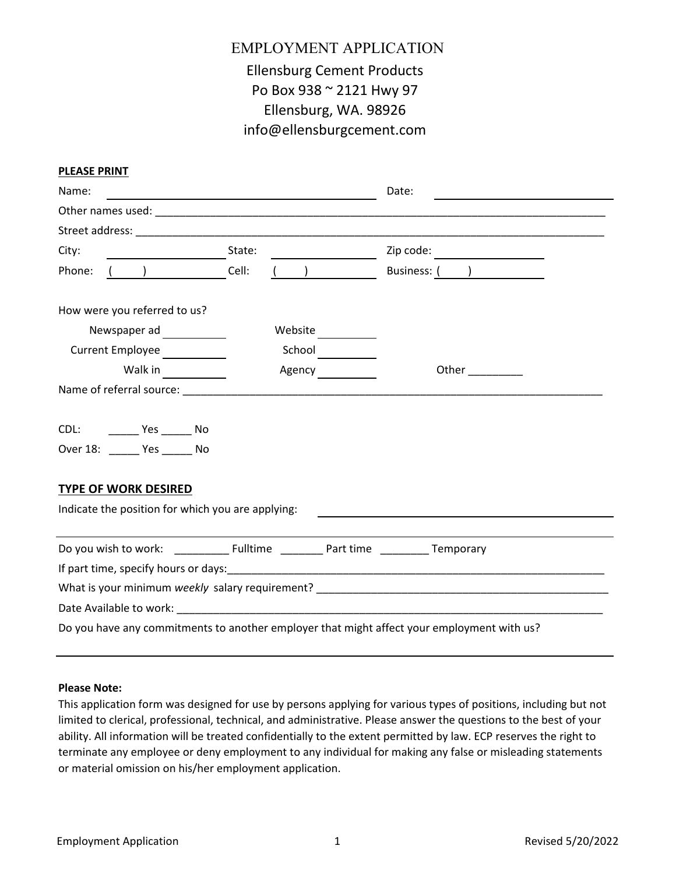# EMPLOYMENT APPLICATION Ellensburg Cement Products Po Box 938 ~ 2121 Hwy 97 Ellensburg, WA. 98926 info@ellensburgcement.com

| Name:  |                                                                  |        |         | Date: |                                                                                                                                                                                                                                     |  |
|--------|------------------------------------------------------------------|--------|---------|-------|-------------------------------------------------------------------------------------------------------------------------------------------------------------------------------------------------------------------------------------|--|
|        |                                                                  |        |         |       |                                                                                                                                                                                                                                     |  |
|        |                                                                  |        |         |       |                                                                                                                                                                                                                                     |  |
| City:  | <u> 1989 - Johann Barnett, fransk politiker</u>                  | State: |         |       | Zip code:                                                                                                                                                                                                                           |  |
| Phone: | $($ $)$                                                          | Cell:  |         |       | Business: ( <u>)</u>                                                                                                                                                                                                                |  |
|        | How were you referred to us?                                     |        |         |       |                                                                                                                                                                                                                                     |  |
|        |                                                                  |        | Website |       |                                                                                                                                                                                                                                     |  |
|        | Current Employee                                                 |        | School  |       |                                                                                                                                                                                                                                     |  |
|        | Walk in                                                          |        | Agency  |       | <b>Other contract to the contract of the contract of the contract of the contract of the contract of the contract of the contract of the contract of the contract of the contract of the contract of the contract of the contr</b>  |  |
|        |                                                                  |        |         |       |                                                                                                                                                                                                                                     |  |
|        | CDL: __________ Yes ________ No<br>Over 18: ______ Yes ______ No |        |         |       |                                                                                                                                                                                                                                     |  |
|        | <b>TYPE OF WORK DESIRED</b>                                      |        |         |       |                                                                                                                                                                                                                                     |  |
|        | Indicate the position for which you are applying:                |        |         |       |                                                                                                                                                                                                                                     |  |
|        |                                                                  |        |         |       |                                                                                                                                                                                                                                     |  |
|        |                                                                  |        |         |       |                                                                                                                                                                                                                                     |  |
|        |                                                                  |        |         |       |                                                                                                                                                                                                                                     |  |
|        |                                                                  |        |         |       | What is your minimum <i>weekly</i> salary requirement? Noting the contract of the contract of the contract of the contract of the contract of the contract of the contract of the contract of the contract of the contract of the c |  |
|        |                                                                  |        |         |       |                                                                                                                                                                                                                                     |  |
|        |                                                                  |        |         |       | Do you have any commitments to another employer that might affect your employment with us?                                                                                                                                          |  |
|        |                                                                  |        |         |       |                                                                                                                                                                                                                                     |  |

#### **Please Note:**

**PLEASE PRINT**

This application form was designed for use by persons applying for various types of positions, including but not limited to clerical, professional, technical, and administrative. Please answer the questions to the best of your ability. All information will be treated confidentially to the extent permitted by law. ECP reserves the right to terminate any employee or deny employment to any individual for making any false or misleading statements or material omission on his/her employment application.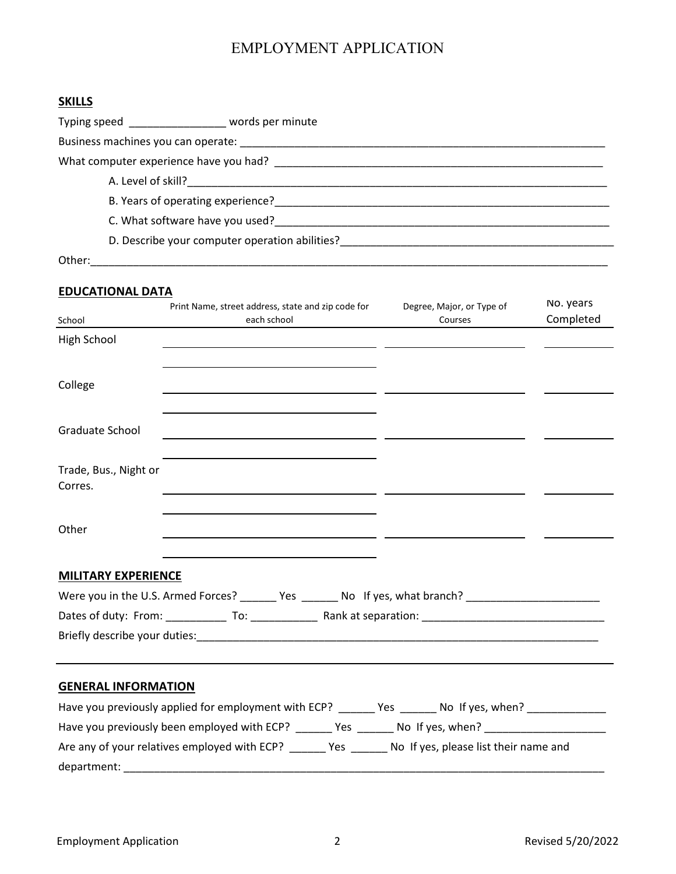### **SKILLS**

| Typing speed<br>Typing speed<br>Typing speed<br>Typing speed<br>Typing speed<br>Typing speed<br>Typing speed<br>The speed of the speed of the speed of the speed of the speed of the speed of the speed of the speed of the speed of the spe |                                                                                                                                                                                                                                |  |
|----------------------------------------------------------------------------------------------------------------------------------------------------------------------------------------------------------------------------------------------|--------------------------------------------------------------------------------------------------------------------------------------------------------------------------------------------------------------------------------|--|
|                                                                                                                                                                                                                                              |                                                                                                                                                                                                                                |  |
|                                                                                                                                                                                                                                              | What computer experience have you had? Letter that the control of the control of the control of the control of                                                                                                                 |  |
|                                                                                                                                                                                                                                              | A. Level of skill?                                                                                                                                                                                                             |  |
|                                                                                                                                                                                                                                              | B. Years of operating experience? The contract of the contract of the contract of the contract of the contract of the contract of the contract of the contract of the contract of the contract of the contract of the contract |  |
|                                                                                                                                                                                                                                              | C. What software have you used? The same of the state of the state of the state of the state of the state of the state of the state of the state of the state of the state of the state of the state of the state of the state |  |
|                                                                                                                                                                                                                                              | D. Describe your computer operation abilities?                                                                                                                                                                                 |  |
| Other:                                                                                                                                                                                                                                       |                                                                                                                                                                                                                                |  |

## **EDUCATIONAL DATA**

| School                           | Print Name, street address, state and zip code for<br>each school                                          | Degree, Major, or Type of<br>Courses | No. years<br>Completed |
|----------------------------------|------------------------------------------------------------------------------------------------------------|--------------------------------------|------------------------|
| High School                      |                                                                                                            |                                      |                        |
|                                  |                                                                                                            |                                      |                        |
| College                          |                                                                                                            |                                      |                        |
| Graduate School                  |                                                                                                            |                                      |                        |
| Trade, Bus., Night or<br>Corres. |                                                                                                            |                                      |                        |
| Other                            |                                                                                                            |                                      |                        |
| <b>MILITARY EXPERIENCE</b>       |                                                                                                            |                                      |                        |
|                                  | Were you in the U.S. Armed Forces? _______ Yes _______ No If yes, what branch? ___________________________ |                                      |                        |
|                                  |                                                                                                            |                                      |                        |
|                                  |                                                                                                            |                                      |                        |
|                                  |                                                                                                            |                                      |                        |
| <b>GENERAL INFORMATION</b>       |                                                                                                            |                                      |                        |
|                                  | Have you previously applied for employment with ECP? _______ Yes _______ No If yes, when? ______________   |                                      |                        |
|                                  | Have you previously been employed with ECP? ______ Yes ______ No If yes, when? ____________________        |                                      |                        |
|                                  | Are any of your relatives employed with ECP? ______ Yes ______ No If yes, please list their name and       |                                      |                        |

department: \_\_\_\_\_\_\_\_\_\_\_\_\_\_\_\_\_\_\_\_\_\_\_\_\_\_\_\_\_\_\_\_\_\_\_\_\_\_\_\_\_\_\_\_\_\_\_\_\_\_\_\_\_\_\_\_\_\_\_\_\_\_\_\_\_\_\_\_\_\_\_\_\_\_\_\_\_\_\_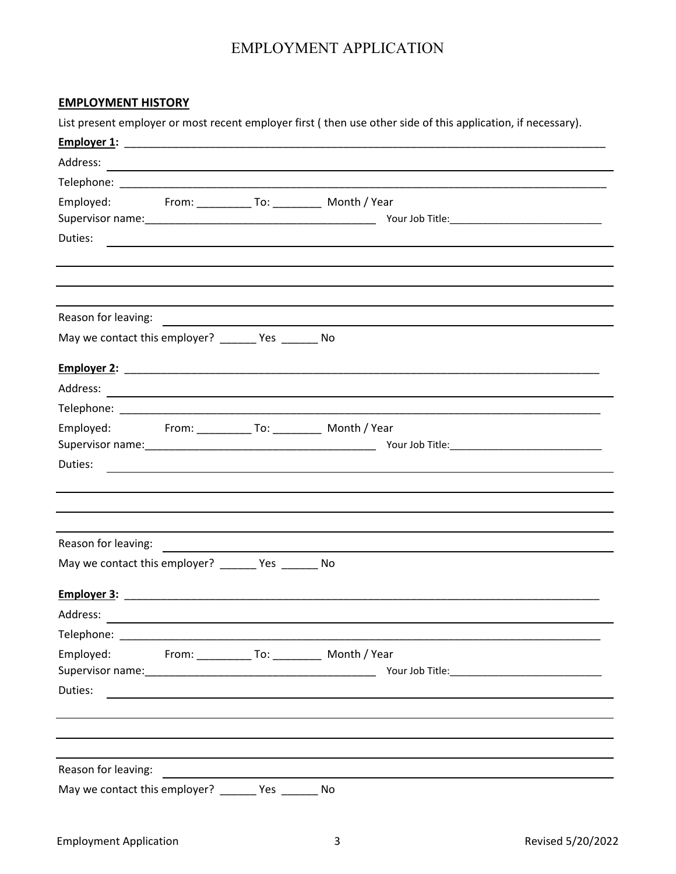#### **EMPLOYMENT HISTORY**

List present employer or most recent employer first ( then use other side of this application, if necessary).

| Employed: From: ____________ To: ____________ Month / Year                                                                                                                                                                             |                                                                                                                        |     |                                                                                                                      |
|----------------------------------------------------------------------------------------------------------------------------------------------------------------------------------------------------------------------------------------|------------------------------------------------------------------------------------------------------------------------|-----|----------------------------------------------------------------------------------------------------------------------|
|                                                                                                                                                                                                                                        |                                                                                                                        |     |                                                                                                                      |
|                                                                                                                                                                                                                                        |                                                                                                                        |     |                                                                                                                      |
|                                                                                                                                                                                                                                        |                                                                                                                        |     |                                                                                                                      |
|                                                                                                                                                                                                                                        |                                                                                                                        |     |                                                                                                                      |
|                                                                                                                                                                                                                                        |                                                                                                                        |     |                                                                                                                      |
| May we contact this employer? _______ Yes _______ No                                                                                                                                                                                   |                                                                                                                        |     |                                                                                                                      |
|                                                                                                                                                                                                                                        |                                                                                                                        |     |                                                                                                                      |
| Address:                                                                                                                                                                                                                               |                                                                                                                        |     | <u> 1989 - Johann John Stein, markin fan it ferstjer fan de ferstjer fan it ferstjer fan de ferstjer fan it fers</u> |
|                                                                                                                                                                                                                                        |                                                                                                                        |     |                                                                                                                      |
| Employed: From: ____________ To: ____________ Month / Year                                                                                                                                                                             |                                                                                                                        |     |                                                                                                                      |
|                                                                                                                                                                                                                                        |                                                                                                                        |     |                                                                                                                      |
| Duties:                                                                                                                                                                                                                                |                                                                                                                        |     | ,我们也不会有什么。""我们的人,我们也不会有什么?""我们的人,我们也不会有什么?""我们的人,我们也不会有什么?""我们的人,我们也不会有什么?""我们的人                                     |
|                                                                                                                                                                                                                                        |                                                                                                                        |     |                                                                                                                      |
|                                                                                                                                                                                                                                        |                                                                                                                        |     |                                                                                                                      |
|                                                                                                                                                                                                                                        |                                                                                                                        |     |                                                                                                                      |
| Reason for leaving:<br><u> and a manufacture of the set of the set of the set of the set of the set of the set of the set of the set of the set of the set of the set of the set of the set of the set of the set of the set of th</u> |                                                                                                                        |     |                                                                                                                      |
| May we contact this employer? ________ Yes ________ No                                                                                                                                                                                 |                                                                                                                        |     |                                                                                                                      |
|                                                                                                                                                                                                                                        |                                                                                                                        |     |                                                                                                                      |
| Address:                                                                                                                                                                                                                               |                                                                                                                        |     |                                                                                                                      |
| Telephone: ___                                                                                                                                                                                                                         | <u> 1989 - Johann John Stone, mars et al. 1989 - John Stone, mars et al. 1989 - John Stone, mars et al. 1989 - Joh</u> |     |                                                                                                                      |
| Employed:                                                                                                                                                                                                                              |                                                                                                                        |     | From: _______________ To: ____________ Month / Year                                                                  |
|                                                                                                                                                                                                                                        |                                                                                                                        |     |                                                                                                                      |
| Duties:                                                                                                                                                                                                                                | the control of the control of the control of the control of the control of the control of                              |     |                                                                                                                      |
|                                                                                                                                                                                                                                        |                                                                                                                        |     |                                                                                                                      |
|                                                                                                                                                                                                                                        |                                                                                                                        |     |                                                                                                                      |
|                                                                                                                                                                                                                                        |                                                                                                                        |     |                                                                                                                      |
| Reason for leaving:                                                                                                                                                                                                                    |                                                                                                                        |     |                                                                                                                      |
| May we contact this employer?                                                                                                                                                                                                          |                                                                                                                        | Yes | No                                                                                                                   |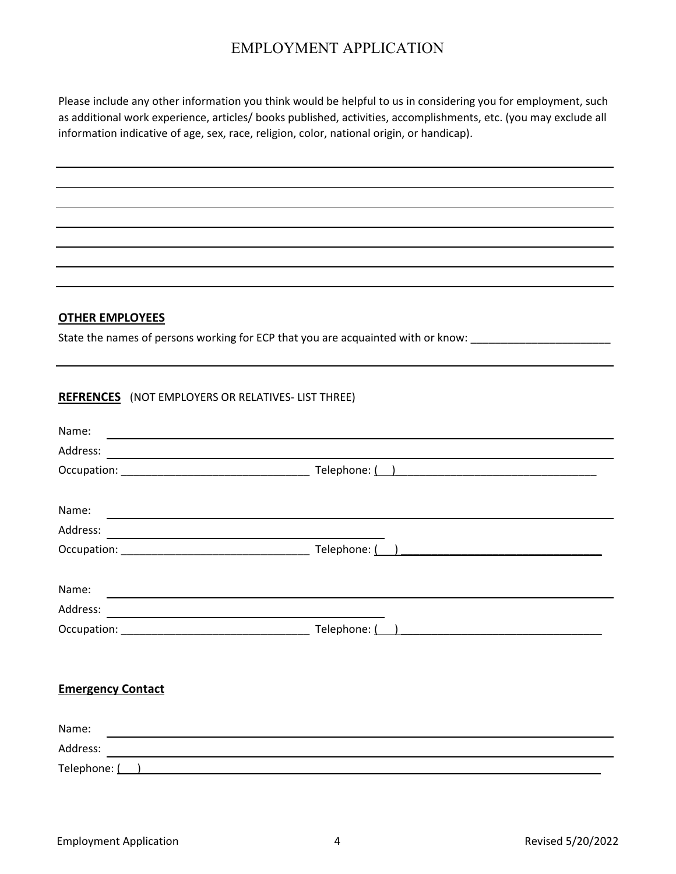Please include any other information you think would be helpful to us in considering you for employment, such as additional work experience, articles/ books published, activities, accomplishments, etc. (you may exclude all information indicative of age, sex, race, religion, color, national origin, or handicap).

#### **OTHER EMPLOYEES**

State the names of persons working for ECP that you are acquainted with or know: \_\_\_\_\_\_\_\_\_\_\_\_\_\_\_\_\_\_\_\_\_\_\_\_\_\_\_\_\_

#### **REFRENCES** (NOT EMPLOYERS OR RELATIVES- LIST THREE)

| Name:                                                     |                |  |
|-----------------------------------------------------------|----------------|--|
| Address:<br><u> 1980 - Andrea Andrew Maria (h. 1980).</u> |                |  |
|                                                           |                |  |
| Name:                                                     |                |  |
|                                                           |                |  |
|                                                           | Telephone: ( ) |  |
|                                                           |                |  |
| Name:                                                     |                |  |
|                                                           |                |  |
|                                                           |                |  |
|                                                           |                |  |
| <b>Emergency Contact</b>                                  |                |  |
| Name:                                                     |                |  |
| Address:                                                  |                |  |
| Telephone: ( )                                            |                |  |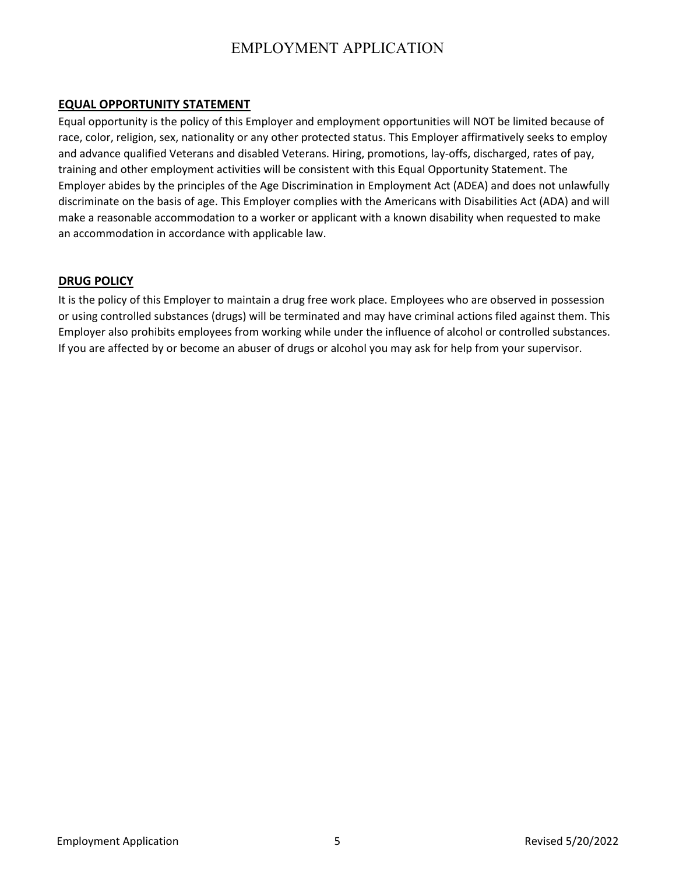#### **EQUAL OPPORTUNITY STATEMENT**

Equal opportunity is the policy of this Employer and employment opportunities will NOT be limited because of race, color, religion, sex, nationality or any other protected status. This Employer affirmatively seeks to employ and advance qualified Veterans and disabled Veterans. Hiring, promotions, lay-offs, discharged, rates of pay, training and other employment activities will be consistent with this Equal Opportunity Statement. The Employer abides by the principles of the Age Discrimination in Employment Act (ADEA) and does not unlawfully discriminate on the basis of age. This Employer complies with the Americans with Disabilities Act (ADA) and will make a reasonable accommodation to a worker or applicant with a known disability when requested to make an accommodation in accordance with applicable law.

#### **DRUG POLICY**

It is the policy of this Employer to maintain a drug free work place. Employees who are observed in possession or using controlled substances (drugs) will be terminated and may have criminal actions filed against them. This Employer also prohibits employees from working while under the influence of alcohol or controlled substances. If you are affected by or become an abuser of drugs or alcohol you may ask for help from your supervisor.